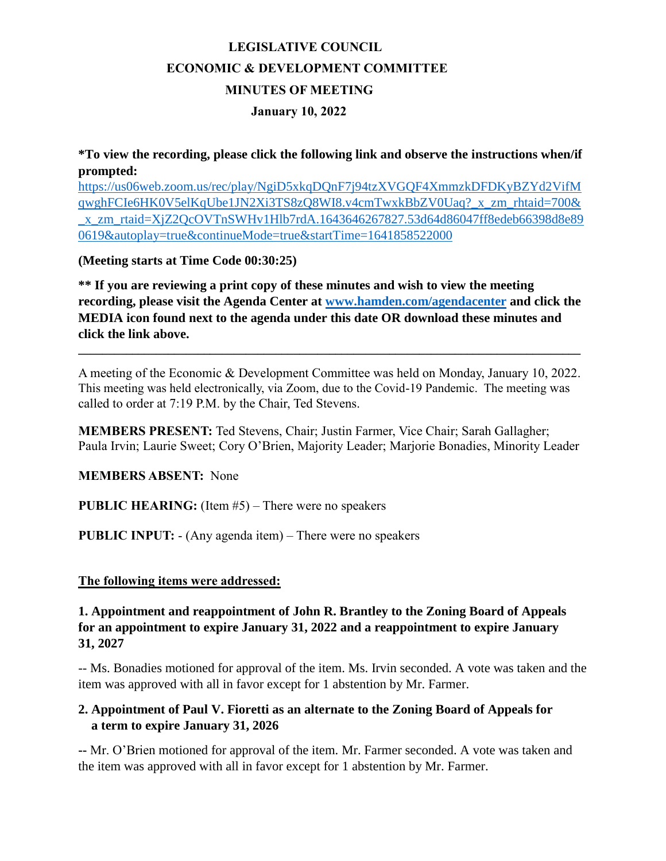# **LEGISLATIVE COUNCIL ECONOMIC & DEVELOPMENT COMMITTEE MINUTES OF MEETING January 10, 2022**

**\*To view the recording, please click the following link and observe the instructions when/if prompted:** 

[https://us06web.zoom.us/rec/play/NgiD5xkqDQnF7j94tzXVGQF4XmmzkDFDKyBZYd2VifM](https://us06web.zoom.us/rec/play/NgiD5xkqDQnF7j94tzXVGQF4XmmzkDFDKyBZYd2VifMqwghFCIe6HK0V5elKqUbe1JN2Xi3TS8zQ8WI8.v4cmTwxkBbZV0Uaq?_x_zm_rhtaid=700&_x_zm_rtaid=XjZ2QcOVTnSWHv1Hlb7rdA.1643646267827.53d64d86047ff8edeb66398d8e890619&autoplay=true&continueMode=true&startTime=1641858522000) [qwghFCIe6HK0V5elKqUbe1JN2Xi3TS8zQ8WI8.v4cmTwxkBbZV0Uaq?\\_x\\_zm\\_rhtaid=700&](https://us06web.zoom.us/rec/play/NgiD5xkqDQnF7j94tzXVGQF4XmmzkDFDKyBZYd2VifMqwghFCIe6HK0V5elKqUbe1JN2Xi3TS8zQ8WI8.v4cmTwxkBbZV0Uaq?_x_zm_rhtaid=700&_x_zm_rtaid=XjZ2QcOVTnSWHv1Hlb7rdA.1643646267827.53d64d86047ff8edeb66398d8e890619&autoplay=true&continueMode=true&startTime=1641858522000) [\\_x\\_zm\\_rtaid=XjZ2QcOVTnSWHv1Hlb7rdA.1643646267827.53d64d86047ff8edeb66398d8e89](https://us06web.zoom.us/rec/play/NgiD5xkqDQnF7j94tzXVGQF4XmmzkDFDKyBZYd2VifMqwghFCIe6HK0V5elKqUbe1JN2Xi3TS8zQ8WI8.v4cmTwxkBbZV0Uaq?_x_zm_rhtaid=700&_x_zm_rtaid=XjZ2QcOVTnSWHv1Hlb7rdA.1643646267827.53d64d86047ff8edeb66398d8e890619&autoplay=true&continueMode=true&startTime=1641858522000) [0619&autoplay=true&continueMode=true&startTime=1641858522000](https://us06web.zoom.us/rec/play/NgiD5xkqDQnF7j94tzXVGQF4XmmzkDFDKyBZYd2VifMqwghFCIe6HK0V5elKqUbe1JN2Xi3TS8zQ8WI8.v4cmTwxkBbZV0Uaq?_x_zm_rhtaid=700&_x_zm_rtaid=XjZ2QcOVTnSWHv1Hlb7rdA.1643646267827.53d64d86047ff8edeb66398d8e890619&autoplay=true&continueMode=true&startTime=1641858522000)

**(Meeting starts at Time Code 00:30:25)**

**\*\* If you are reviewing a print copy of these minutes and wish to view the meeting recording, please visit the Agenda Center at [www.hamden.com/agendacenter](http://www.hamden.com/agendacenter) and click the MEDIA icon found next to the agenda under this date OR download these minutes and click the link above.**

A meeting of the Economic & Development Committee was held on Monday, January 10, 2022. This meeting was held electronically, via Zoom, due to the Covid-19 Pandemic. The meeting was called to order at 7:19 P.M. by the Chair, Ted Stevens.

**\_\_\_\_\_\_\_\_\_\_\_\_\_\_\_\_\_\_\_\_\_\_\_\_\_\_\_\_\_\_\_\_\_\_\_\_\_\_\_\_\_\_\_\_\_\_\_\_\_\_\_\_\_\_\_\_\_\_\_\_\_\_\_\_\_\_\_\_\_\_\_\_\_\_\_\_\_\_\_\_\_\_\_\_**

**MEMBERS PRESENT:** Ted Stevens, Chair; Justin Farmer, Vice Chair; Sarah Gallagher; Paula Irvin; Laurie Sweet; Cory O'Brien, Majority Leader; Marjorie Bonadies, Minority Leader

**MEMBERS ABSENT:** None

**PUBLIC HEARING:** (Item #5) – There were no speakers

**PUBLIC INPUT:** - (Any agenda item) – There were no speakers

#### **The following items were addressed:**

**1. Appointment and reappointment of John R. Brantley to the Zoning Board of Appeals for an appointment to expire January 31, 2022 and a reappointment to expire January 31, 2027**

-- Ms. Bonadies motioned for approval of the item. Ms. Irvin seconded. A vote was taken and the item was approved with all in favor except for 1 abstention by Mr. Farmer.

#### **2. Appointment of Paul V. Fioretti as an alternate to the Zoning Board of Appeals for a term to expire January 31, 2026**

**--** Mr. O'Brien motioned for approval of the item. Mr. Farmer seconded. A vote was taken and the item was approved with all in favor except for 1 abstention by Mr. Farmer.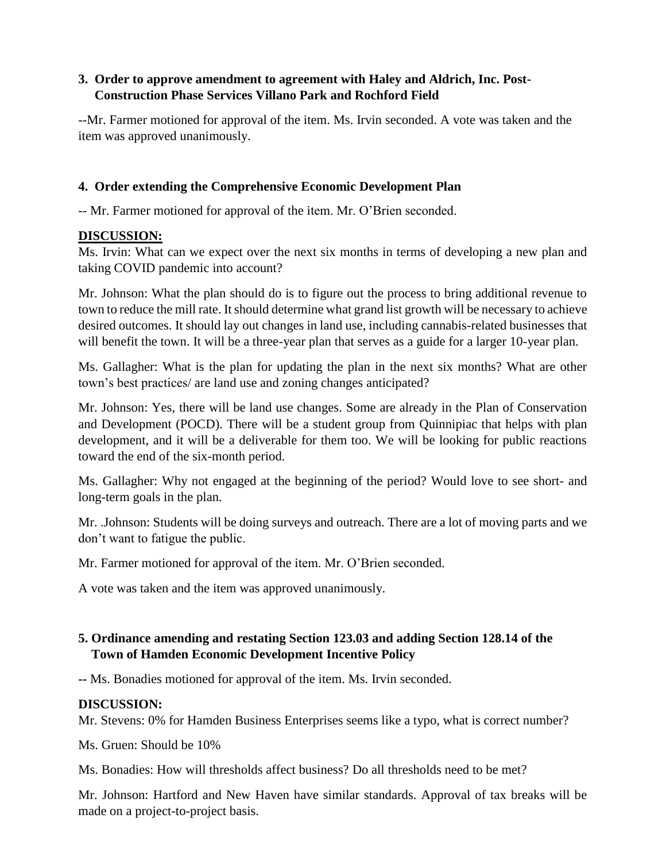### **3. Order to approve amendment to agreement with Haley and Aldrich, Inc. Post- Construction Phase Services Villano Park and Rochford Field**

--Mr. Farmer motioned for approval of the item. Ms. Irvin seconded. A vote was taken and the item was approved unanimously.

### **4. Order extending the Comprehensive Economic Development Plan**

-- Mr. Farmer motioned for approval of the item. Mr. O'Brien seconded.

#### **DISCUSSION:**

Ms. Irvin: What can we expect over the next six months in terms of developing a new plan and taking COVID pandemic into account?

Mr. Johnson: What the plan should do is to figure out the process to bring additional revenue to town to reduce the mill rate. It should determine what grand list growth will be necessary to achieve desired outcomes. It should lay out changes in land use, including cannabis-related businesses that will benefit the town. It will be a three-year plan that serves as a guide for a larger 10-year plan.

Ms. Gallagher: What is the plan for updating the plan in the next six months? What are other town's best practices/ are land use and zoning changes anticipated?

Mr. Johnson: Yes, there will be land use changes. Some are already in the Plan of Conservation and Development (POCD). There will be a student group from Quinnipiac that helps with plan development, and it will be a deliverable for them too. We will be looking for public reactions toward the end of the six-month period.

Ms. Gallagher: Why not engaged at the beginning of the period? Would love to see short- and long-term goals in the plan.

Mr. .Johnson: Students will be doing surveys and outreach. There are a lot of moving parts and we don't want to fatigue the public.

Mr. Farmer motioned for approval of the item. Mr. O'Brien seconded.

A vote was taken and the item was approved unanimously.

## **5. Ordinance amending and restating Section 123.03 and adding Section 128.14 of the Town of Hamden Economic Development Incentive Policy**

**--** Ms. Bonadies motioned for approval of the item. Ms. Irvin seconded.

#### **DISCUSSION:**

Mr. Stevens: 0% for Hamden Business Enterprises seems like a typo, what is correct number?

Ms. Gruen: Should be 10%

Ms. Bonadies: How will thresholds affect business? Do all thresholds need to be met?

Mr. Johnson: Hartford and New Haven have similar standards. Approval of tax breaks will be made on a project-to-project basis.